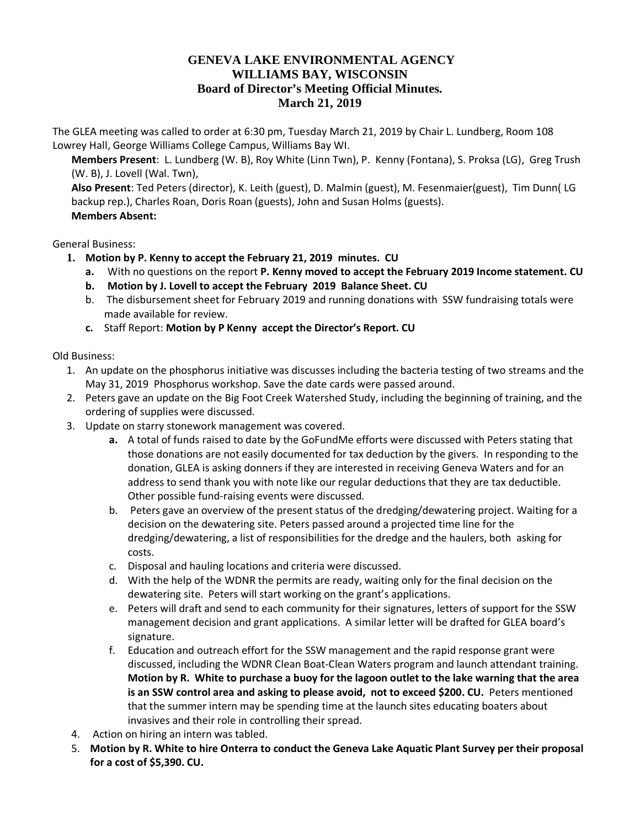## **GENEVA LAKE ENVIRONMENTAL AGENCY WILLIAMS BAY, WISCONSIN Board of Director's Meeting Official Minutes. March 21, 2019**

The GLEA meeting was called to order at 6:30 pm, Tuesday March 21, 2019 by Chair L. Lundberg, Room 108 Lowrey Hall, George Williams College Campus, Williams Bay WI.

**Members Present**: L. Lundberg (W. B), Roy White (Linn Twn), P. Kenny (Fontana), S. Proksa (LG), Greg Trush (W. B), J. Lovell (Wal. Twn),

**Also Present**: Ted Peters (director), K. Leith (guest), D. Malmin (guest), M. Fesenmaier(guest), Tim Dunn( LG backup rep.), Charles Roan, Doris Roan (guests), John and Susan Holms (guests). **Members Absent:**

General Business:

- **1. Motion by P. Kenny to accept the February 21, 2019 minutes. CU**
	- **a.** With no questions on the report **P. Kenny moved to accept the February 2019 Income statement. CU**
	- **b. Motion by J. Lovell to accept the February 2019 Balance Sheet. CU**
	- b. The disbursement sheet for February 2019 and running donations with SSW fundraising totals were made available for review.
	- **c.** Staff Report: **Motion by P Kenny accept the Director's Report. CU**

Old Business:

- 1. An update on the phosphorus initiative was discusses including the bacteria testing of two streams and the May 31, 2019 Phosphorus workshop. Save the date cards were passed around.
- 2. Peters gave an update on the Big Foot Creek Watershed Study, including the beginning of training, and the ordering of supplies were discussed.
- 3. Update on starry stonework management was covered.
	- **a.** A total of funds raised to date by the GoFundMe efforts were discussed with Peters stating that those donations are not easily documented for tax deduction by the givers. In responding to the donation, GLEA is asking donners if they are interested in receiving Geneva Waters and for an address to send thank you with note like our regular deductions that they are tax deductible. Other possible fund-raising events were discussed.
	- b. Peters gave an overview of the present status of the dredging/dewatering project. Waiting for a decision on the dewatering site. Peters passed around a projected time line for the dredging/dewatering, a list of responsibilities for the dredge and the haulers, both asking for costs.
	- c. Disposal and hauling locations and criteria were discussed.
	- d. With the help of the WDNR the permits are ready, waiting only for the final decision on the dewatering site. Peters will start working on the grant's applications.
	- e. Peters will draft and send to each community for their signatures, letters of support for the SSW management decision and grant applications. A similar letter will be drafted for GLEA board's signature.
	- f. Education and outreach effort for the SSW management and the rapid response grant were discussed, including the WDNR Clean Boat-Clean Waters program and launch attendant training. **Motion by R. White to purchase a buoy for the lagoon outlet to the lake warning that the area is an SSW control area and asking to please avoid, not to exceed \$200. CU.** Peters mentioned that the summer intern may be spending time at the launch sites educating boaters about invasives and their role in controlling their spread.
- 4. Action on hiring an intern was tabled.
- 5. **Motion by R. White to hire Onterra to conduct the Geneva Lake Aquatic Plant Survey per their proposal for a cost of \$5,390. CU.**